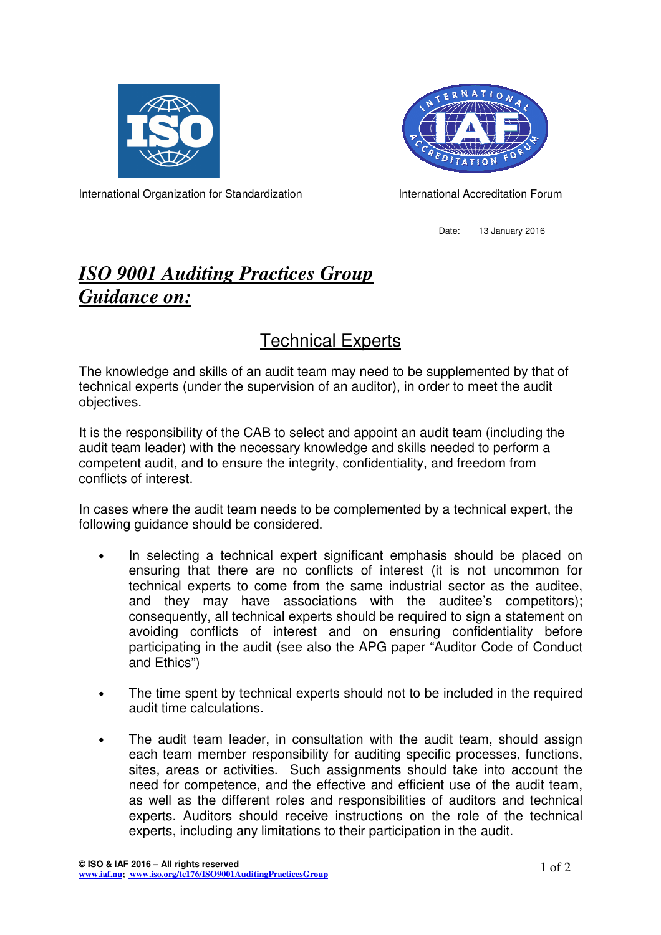



International Organization for Standardization **International Accreditation Forum** 

Date: 13 January 2016

## *ISO 9001 Auditing Practices Group Guidance on:*

## Technical Experts

The knowledge and skills of an audit team may need to be supplemented by that of technical experts (under the supervision of an auditor), in order to meet the audit objectives.

It is the responsibility of the CAB to select and appoint an audit team (including the audit team leader) with the necessary knowledge and skills needed to perform a competent audit, and to ensure the integrity, confidentiality, and freedom from conflicts of interest.

In cases where the audit team needs to be complemented by a technical expert, the following guidance should be considered.

- In selecting a technical expert significant emphasis should be placed on ensuring that there are no conflicts of interest (it is not uncommon for technical experts to come from the same industrial sector as the auditee, and they may have associations with the auditee's competitors); consequently, all technical experts should be required to sign a statement on avoiding conflicts of interest and on ensuring confidentiality before participating in the audit (see also the APG paper "Auditor Code of Conduct and Ethics")
- The time spent by technical experts should not to be included in the required audit time calculations.
- The audit team leader, in consultation with the audit team, should assign each team member responsibility for auditing specific processes, functions, sites, areas or activities. Such assignments should take into account the need for competence, and the effective and efficient use of the audit team, as well as the different roles and responsibilities of auditors and technical experts. Auditors should receive instructions on the role of the technical experts, including any limitations to their participation in the audit.